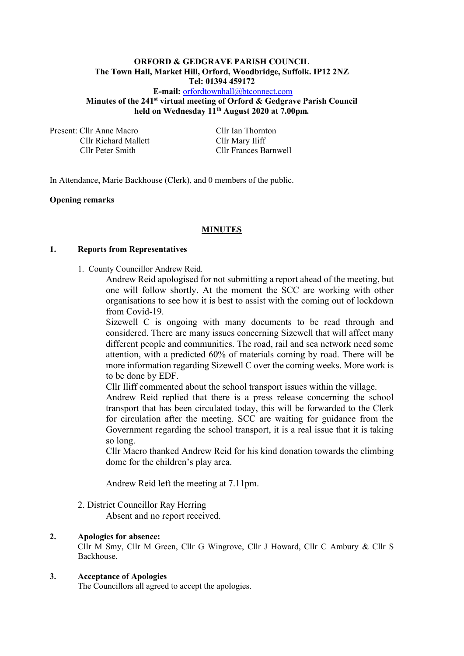# **ORFORD & GEDGRAVE PARISH COUNCIL The Town Hall, Market Hill, Orford, Woodbridge, Suffolk. IP12 2NZ Tel: 01394 459172 E-mail:** [orfordtownhall@btconnect.com](mailto:orfordtownhall@btconnect.com)

**Minutes of the 241st virtual meeting of Orford & Gedgrave Parish Council held on Wednesday 11 th August 2020 at 7.00pm***.*

Present: Cllr Anne Macro Cllr Ian Thornton Cllr Richard Mallett Cllr Mary Iliff

Cllr Peter Smith Cllr Frances Barnwell

In Attendance, Marie Backhouse (Clerk), and 0 members of the public.

#### **Opening remarks**

#### **MINUTES**

#### **1. Reports from Representatives**

1. County Councillor Andrew Reid.

Andrew Reid apologised for not submitting a report ahead of the meeting, but one will follow shortly. At the moment the SCC are working with other organisations to see how it is best to assist with the coming out of lockdown from Covid-19.

Sizewell C is ongoing with many documents to be read through and considered. There are many issues concerning Sizewell that will affect many different people and communities. The road, rail and sea network need some attention, with a predicted 60% of materials coming by road. There will be more information regarding Sizewell C over the coming weeks. More work is to be done by EDF.

Cllr Iliff commented about the school transport issues within the village.

Andrew Reid replied that there is a press release concerning the school transport that has been circulated today, this will be forwarded to the Clerk for circulation after the meeting. SCC are waiting for guidance from the Government regarding the school transport, it is a real issue that it is taking so long.

Cllr Macro thanked Andrew Reid for his kind donation towards the climbing dome for the children's play area.

Andrew Reid left the meeting at 7.11pm.

#### 2. District Councillor Ray Herring

Absent and no report received.

#### **2. Apologies for absence:**

Cllr M Smy, Cllr M Green, Cllr G Wingrove, Cllr J Howard, Cllr C Ambury & Cllr S Backhouse.

## **3. Acceptance of Apologies**

The Councillors all agreed to accept the apologies.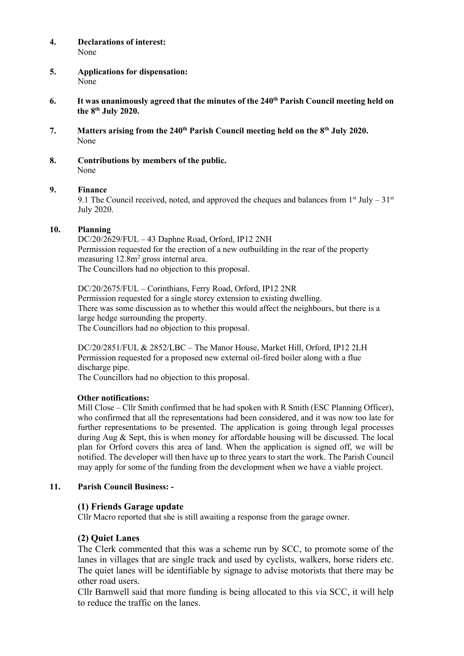#### **4. Declarations of interest:** None

- **5. Applications for dispensation:** None
- **6. It was unanimously agreed that the minutes of the 240th Parish Council meeting held on the 8 th July 2020.**
- **7. Matters arising from the 240th Parish Council meeting held on the 8 th July 2020.** None
- **8. Contributions by members of the public.** None

### **9. Finance**

9.1 The Council received, noted, and approved the cheques and balances from  $1<sup>st</sup>$  July –  $31<sup>st</sup>$ July 2020.

### **10. Planning**

DC/20/2629/FUL – 43 Daphne Road, Orford, IP12 2NH Permission requested for the erection of a new outbuilding in the rear of the property measuring 12.8m<sup>2</sup> gross internal area. The Councillors had no objection to this proposal.

DC/20/2675/FUL – Corinthians, Ferry Road, Orford, IP12 2NR Permission requested for a single storey extension to existing dwelling. There was some discussion as to whether this would affect the neighbours, but there is a large hedge surrounding the property. The Councillors had no objection to this proposal.

DC/20/2851/FUL & 2852/LBC – The Manor House, Market Hill, Orford, IP12 2LH Permission requested for a proposed new external oil-fired boiler along with a flue discharge pipe.

The Councillors had no objection to this proposal.

#### **Other notifications:**

Mill Close – Cllr Smith confirmed that he had spoken with R Smith (ESC Planning Officer), who confirmed that all the representations had been considered, and it was now too late for further representations to be presented. The application is going through legal processes during Aug & Sept, this is when money for affordable housing will be discussed. The local plan for Orford covers this area of land. When the application is signed off, we will be notified. The developer will then have up to three years to start the work. The Parish Council may apply for some of the funding from the development when we have a viable project.

## **11. Parish Council Business: -**

## **(1) Friends Garage update**

Cllr Macro reported that she is still awaiting a response from the garage owner.

## **(2) Quiet Lanes**

The Clerk commented that this was a scheme run by SCC, to promote some of the lanes in villages that are single track and used by cyclists, walkers, horse riders etc. The quiet lanes will be identifiable by signage to advise motorists that there may be other road users.

Cllr Barnwell said that more funding is being allocated to this via SCC, it will help to reduce the traffic on the lanes.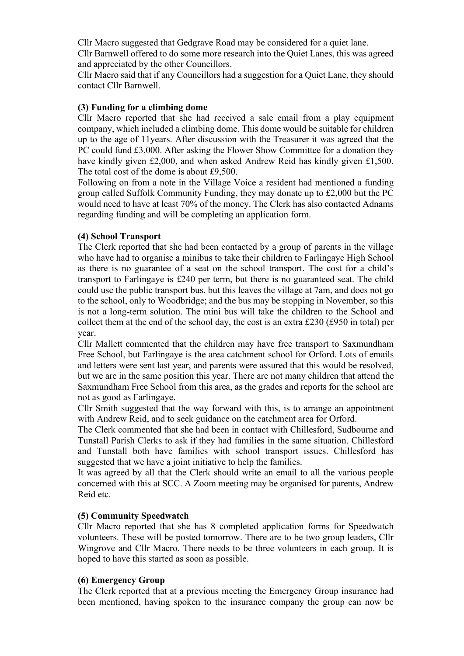Cllr Macro suggested that Gedgrave Road may be considered for a quiet lane.

Cllr Barnwell offered to do some more research into the Quiet Lanes, this was agreed and appreciated by the other Councillors.

Cllr Macro said that if any Councillors had a suggestion for a Quiet Lane, they should contact Cllr Barnwell.

## **(3) Funding for a climbing dome**

Cllr Macro reported that she had received a sale email from a play equipment company, which included a climbing dome. This dome would be suitable for children up to the age of 11years. After discussion with the Treasurer it was agreed that the PC could fund £3,000. After asking the Flower Show Committee for a donation they have kindly given £2,000, and when asked Andrew Reid has kindly given £1,500. The total cost of the dome is about £9,500.

Following on from a note in the Village Voice a resident had mentioned a funding group called Suffolk Community Funding, they may donate up to £2,000 but the PC would need to have at least 70% of the money. The Clerk has also contacted Adnams regarding funding and will be completing an application form.

# **(4) School Transport**

The Clerk reported that she had been contacted by a group of parents in the village who have had to organise a minibus to take their children to Farlingaye High School as there is no guarantee of a seat on the school transport. The cost for a child's transport to Farlingaye is £240 per term, but there is no guaranteed seat. The child could use the public transport bus, but this leaves the village at 7am, and does not go to the school, only to Woodbridge; and the bus may be stopping in November, so this is not a long-term solution. The mini bus will take the children to the School and collect them at the end of the school day, the cost is an extra £230 (£950 in total) per year.

Cllr Mallett commented that the children may have free transport to Saxmundham Free School, but Farlingaye is the area catchment school for Orford. Lots of emails and letters were sent last year, and parents were assured that this would be resolved, but we are in the same position this year. There are not many children that attend the Saxmundham Free School from this area, as the grades and reports for the school are not as good as Farlingaye.

Cllr Smith suggested that the way forward with this, is to arrange an appointment with Andrew Reid, and to seek guidance on the catchment area for Orford.

The Clerk commented that she had been in contact with Chillesford, Sudbourne and Tunstall Parish Clerks to ask if they had families in the same situation. Chillesford and Tunstall both have families with school transport issues. Chillesford has suggested that we have a joint initiative to help the families.

It was agreed by all that the Clerk should write an email to all the various people concerned with this at SCC. A Zoom meeting may be organised for parents, Andrew Reid etc.

# **(5) Community Speedwatch**

Cllr Macro reported that she has 8 completed application forms for Speedwatch volunteers. These will be posted tomorrow. There are to be two group leaders, Cllr Wingrove and Cllr Macro. There needs to be three volunteers in each group. It is hoped to have this started as soon as possible.

## **(6) Emergency Group**

The Clerk reported that at a previous meeting the Emergency Group insurance had been mentioned, having spoken to the insurance company the group can now be